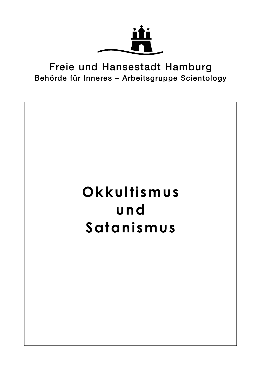

## Freie und Hansestadt Hamburg Behörde für Inneres - Arbeitsgruppe Scientology

## Okkultismus und Satanismus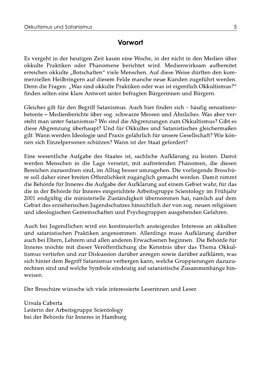## Vorwort

Es vergeht in der heutigen Zeit kaum eine Woche, in der nicht in den Medien über okkulte Praktiken oder Phänomene berichtet wird. Medienwirksam aufbereitet erreichen okkulte "Botschaften" viele Menschen. Auf diese Weise dürften den kommerziellen Heilbringern auf diesem Felde manche neue Kunden zugeführt werden. Denn die Fragen: "Was sind okkulte Praktiken oder was ist eigentlich Okkultismus?" finden selten eine klare Antwort unter befragten Bürgerinnen und Bürgern.

Gleiches gilt für den Begriff Satanismus. Auch hier finden sich - häufig sensationsbetonte – Medienberichte über sog. schwarze Messen und Ähnliches. Was aber versteht man unter Satanismus? Wo sind die Abgrenzungen zum Okkultismus? Gibt es diese Abgrenzung überhaupt? Und für Okkultes und Satanistisches gleichermaßen gilt: Wann werden Ideologie und Praxis gefährlich für unsere Gesellschaft? Wie können sich Einzelpersonen schützen? Wann ist der Staat gefordert?

Eine wesentliche Aufgabe des Staates ist, sachliche Aufklärung zu leisten. Damit werden Menschen in die Lage versetzt, mit auftretenden Phänomen, die diesen Bereichen zuzuordnen sind, im Alltag besser umzugehen. Die vorliegende Broschüre soll daher einer breiten Öffentlichkeit zugänglich gemacht werden. Damit nimmt die Behörde für Inneres die Aufgabe der Aufklärung auf einem Gebiet wahr, für das die in der Behörde für Inneres eingerichtete Arbeitsgruppe Scientology im Frühjahr 2001 endgültig die ministerielle Zuständigkeit übernommen hat, nämlich auf dem Gebiet des erzieherischen Jugendschutzes hinsichtlich der von sog, neuen religiösen und ideologischen Gemeinschaften und Psychogruppen ausgehenden Gefahren.

Auch bei Jugendlichen wird ein kontinuierlich ansteigendes Interesse an okkulten und satanistischen Praktiken angenommen. Allerdings muss Aufklärung darüber auch bei Eltern, Lehrern und allen anderen Erwachsenen beginnen. Die Behörde für Inneres möchte mit dieser Veröffentlichung die Kenntnis über das Thema Okkultismus vertiefen und zur Diskussion darüber anregen sowie darüber aufklären, was sich hinter dem Begriff Satanismus verbergen kann, welche Gruppierungen dazuzurechnen sind und welche Symbole eindeutig auf satanistische Zusammenhänge hinweisen.

Der Broschüre wünsche ich viele interessierte Leserinnen und Leser.

Ursula Caberta Leiterin der Arbeitsgruppe Scientology bei der Behörde für Inneres in Hamburg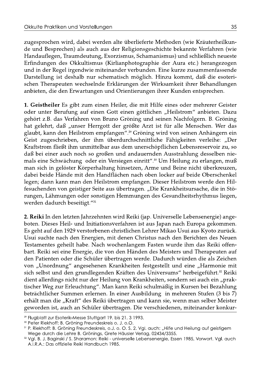zugesprochen wird, dabei werden alte überlieferte Methoden (wie Kräuterheilkunde und Besprechen) als auch aus der Religionsgeschichte bekannte Verfahren (wie Handauflegen, Traumdeutung, Exorzismus, Schamanismus) und schließlich neueste Erfindungen des Okkultismus (Kirlianphotographie der Aura etc.) herangezogen und in der Regel irgendwie miteinander verbunden. Eine kurze zusammenfassende Darstellung ist deshalb nur schematisch möglich. Hinzu kommt, daß die esoterischen Therapeuten wechselnde Erklärungen der Wirksamkeit ihrer Behandlungen anbieten, die den Erwartungen und Orientierungen ihrer Kunden entsprechen.

1. Geistheiler Es gibt zum einen Heiler, die mit Hilfe eines oder mehrerer Geister oder unter Berufung auf einen Gott einen göttlichen "Heilstrom" anbieten. Dazu gehört z.B. das Verfahren von Bruno Gröning und seinen Nachfolgern. B. Gröning hat gelehrt, daß "unser Herrgott der größte Arzt ist für alle Menschen. Wer das glaubt, kann den Heilstrom empfangen".<sup>29</sup> Gröning wird von seinen Anhängern ein Geist zugeschrieben, der ihm überdurchschnittliche Fähigkeiten verleihe: "Der Kraftstrom fließt ihm unmittelbar aus dem unerschöpflichen Lebensreservoir zu, so daß bei einer auch noch so großen und andauernden Ausstrahlung desselben niemals eine Schwächung oder ein Versiegen einritt".<sup>30</sup> Um Heilung zu erlangen, muß man sich in gelöster Körperhaltung hinsetzen, Arme und Beine nicht überkreuzen, dabei beide Hände mit den Handflächen nach oben locker auf beide Oberschenkel legen; dann kann man den Heilstrom empfangen. Dieser Heilstrom werde den Hilfesuchenden von geistiger Seite aus übertragen. "Die Krankheitsursache, die in Störungen, Lähmungen oder sonstigen Hemmungen des Gesundheitsrhythmus liegen, werden dadurch beseitigt."31

2. Reiki In den letzten Jahrzehnten wird Reiki (jap. Universelle Lebensenergie) angeboten. Dieses Heil- und Initiationsverfahren ist aus Japan nach Europa gekommen. Es geht auf den 1929 verstorbenen christlichen Lehrer Mikao Usui aus Kyoto zurück. Usui suchte nach den Energien, mit denen Christus nach den Berichten des Neuen Testamentes geheilt habe. Nach wochenlangem Fasten wurde ihm das Reiki offenbart. Reiki sei eine Energie, die von den Händen des Meisters und Therapeuten auf den Patienten oder die Schüler übertragen werde. Dadurch würden die als Zeichen von "Unordnung" angesehenen Krankheiten festgestellt und eine "Harmonie mit sich selbst und den grundlegenden Kräften des Universums" herbeigeführt.<sup>32</sup> Reiki dient allerdings nicht nur der Heilung von Krankheiten, sondern sei auch ein "praktischer Weg zur Erleuchtung". Man kann Reiki schulmäßig in Kursen bei Bezahlung beträchtlicher Summen erlernen. In einer Ausbildung in mehreren Stufen (3 bis 7) erhält man die "Kraft" des Reiki übertragen und kann sie, wenn man selber Meister geworden ist, auch an Schüler übertragen. Die verschiedenen, miteinander konkur-

<sup>&</sup>lt;sup>29</sup> Flugblatt zur Esoterik-Messe Stuttgart 19. bis 21. 3 1993.

<sup>30</sup> Peter Riekhoff: B. Gröning Freundeskreis o. J. o.O.

<sup>31</sup> P. Riekhoff: B. Gröning Freundeskreis, o.J. o. O. S. 2. Vgl. auch: "Hilfe und Heilung auf geistigem Wege durch die Lehre B. Grönings, Grete Häusler Verlag, 02434/3355.

<sup>32</sup> Vgl. B. J. Baginski / S. Sharamon: Reiki - universelle Lebensenergie, Essen 1985, Vorwort. Vgl. auch A.I.R.A.: Das offizielle Reiki Handbuch 1985.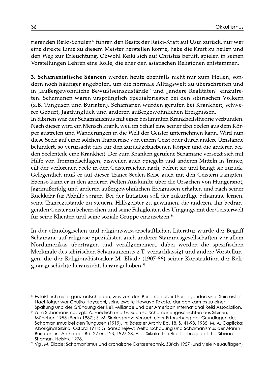rierenden Reiki-Schulen<sup>33</sup> führen den Besitz der Reiki-Kraft auf Usui zurück, nur wer eine direkte Linie zu diesem Meister herstellen könne, habe die Kraft zu heilen und den Weg zur Erleuchtung. Obwohl Reiki sich auf Christus beruft, spielen in seinen Vorstellungen Lehren eine Rolle, die eher den asiatischen Religionen entstammen.

3. Schamanistische Séancen werden heute ebenfalls nicht nur zum Heilen, sondern noch häufiger angeboten, um die normale Alltagswelt zu überschreiten und in "außergewöhnliche Bewußtseinszustände" und "andere Realitäten" einzutreten. Schamanen waren ursprünglich Spezialpriester bei den sibirischen Völkern (z.B. Tungusen und Buriaten). Schamanen wurden gerufen bei Krankheit, schwerer Geburt, Jagdunglück und anderen außergewöhnlichen Ereignissen.

In Sibirien war der Schamanismus mit einer bestimmten Krankheitstheorie verbunden. Nach dieser wird ein Mensch krank, weil im Schlaf eine seiner drei Seelen aus dem Körper austreten und Wanderungen in die Welt der Geister unternehmen kann. Wird nun diese Seele auf einer solchen Trancereise von einem Geist oder durch andere Umstände behindert, so verursacht dies für den zurückgebliebenen Körper und die anderen beiden Seelenteile eine Krankheit. Der zum Kranken gerufene Schamane versetzt sich mit Hilfe von Trommelschlägen, bisweilen auch Spiegeln und anderen Mitteln in Trance, eilt der verlorenen Seele in den Geisterreichen nach, befreit sie und bringt sie zurück. Gelegentlich muß er auf dieser Trance-Seelen-Reise auch mit den Geistern kämpfen. Ebenso kann er in den anderen Welten Auskünfte über die Ursachen von Hungersnot, Jagdmißerfolg und anderen außergewöhnlichen Ereignissen erhalten und nach seiner Rückkehr für Abhilfe sorgen. Bei der Initiation soll der zukünftige Schamane lernen, seine Trancezustände zu steuern, Hilfsgeister zu gewinnen, die anderen, ihn bedrängenden Geister zu beherrschen und seine Fähigkeiten des Umgangs mit der Geisterwelt für seine Klienten und seine soziale Gruppe einzusetzen.<sup>34</sup>

In der ethnologischen und religionswissenschaftlichen Literatur wurde der Begriff Schamane auf religiöse Spezialisten auch anderer Stammesgesellschaften vor allem Nordamerikas übertragen und verallgemeinert, dabei werden die spezifischen Merkmale des sibirischen Schamanismus z.T. vernachlässigt und andere Vorstellungen, die der Religionshistoriker M. Eliade (1907-86) seiner Konstruktion der Religionsgeschichte heranzieht, herausgehoben.<sup>35</sup>

<sup>33</sup> Es läßt sich nicht ganz entscheiden, was von den Berichten über Usui Legenden sind. Sein erster Nachfolger war Chujiro Hayaschi, seine zweite Hawayo Takata, danach kam es zu einer Spaltung und der Gründung der Reiki-Alliance und der American International Reiki Association.

<sup>&</sup>lt;sup>34</sup> Zum Schamanismus vgl.: A. Friedrich und G. Budruss: Schamanengeschichten aus Sibirien, München 1955 (Berlin 1987); S. M. Sirokogorov: Versuch einer Erforschung der Grundlagen des Schamanismus bei den Tungusen (1919), in: Baessler Archiv Bd. 18, S. 41-98, 1935; M. A. Caplicka: Aboriginal Sibiria, Oxford 1914; G. Sanschejew: Weltanschauung und Schamanismus der Alaren-Burjaten, in: Anthropos Bd. 22 und 23, 1927-28; A. L. Siikala: The Rite Technique of the Sibirian Shaman, Helsinki 1978.

<sup>&</sup>lt;sup>35</sup> Vgl. M. Eliade: Schamanismus und archaische Ekstasetechnik, Zürich 1957 (und viele Neuauflagen)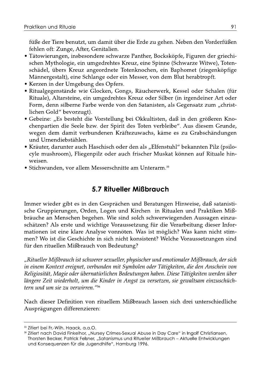füße der Tiere benutzt, um damit über die Erde zu gehen. Neben den Vorderfüßen fehlen oft: Zunge, After, Genitalien.

- Tätowierungen, insbesondere schwarze Panther, Bocksköpfe, Figuren der griechischen Mythologie, ein umgedrehtes Kreuz, eine Spinne (Schwarze Witwe), Totenschädel, übers Kreuz angeordnete Totenknochen, ein Baphomet (ziegenköpfige Männergestalt), eine Schlange oder ein Messer, von dem Blut herabtropft.
- Kerzen in der Umgebung des Opfers.
- · Ritualgegenstände wie Glocken, Gongs, Räucherwerk, Kessel oder Schalen (für Rituale), Altarsteine, ein umgedrehtes Kreuz oder Silber (in irgendeiner Art oder Form, denn silberne Farbe werde von den Satanisten, als Gegensatz zum "christlichen Gold" bevorzugt).
- Gebeine: "Es besteht die Vorstellung bei Okkultisten, daß in den größeren Knochenpartien die Seele bzw. der Spirit des Toten verbleibe". Aus diesem Grunde, wegen dem damit verbundenen Kräftezuwachs, käme es zu Grabschändungen und Urnendiebstählen.
- Kräuter, darunter auch Haschisch oder den als "Elfenstuhl" bekannten Pilz (psilocyle mushroom), Fliegenpilz oder auch frischer Muskat können auf Rituale hinweisen.
- Stichwunden, vor allem Messerschnitte am Unterarm.<sup>55</sup>

## 5.7 Ritueller Mißbrauch

Immer wieder gibt es in den Gesprächen und Beratungen Hinweise, daß satanistische Gruppierungen, Orden, Logen und Kirchen in Ritualen und Praktiken Mißbräuche an Menschen begehen. Wie sind solch schwerwiegenden Aussagen einzuschätzen? Als erste und wichtige Voraussetzung für die Verarbeitung dieser Informationen ist eine klare Analyse vonnöten. Was ist möglich? Was kann nicht stimmen? Wo ist die Geschichte in sich nicht konsistent? Welche Voraussetzungen sind für den rituellen Mißbrauch von Bedeutung?

"Ritueller Mißbrauch ist schwerer sexueller, physischer und emotionaler Mißbrauch, der sich in einem Kontext ereignet, verbunden mit Symbolen oder Tätigkeiten, die den Anschein von Religiosität, Magie oder übernatürlichen Bedeutungen haben. Diese Tätigkeiten werden über längere Zeit wiederholt, um die Kinder in Angst zu versetzen, sie gewaltsam einzuschüchtern und um sie zu verwirren."56

Nach dieser Definition von rituellem Mißbrauch lassen sich drei unterschiedliche Ausprägungen differenzieren:

<sup>&</sup>lt;sup>55</sup> Zitiert bei Fr.-Wilh, Haack, a.a.O.

<sup>&</sup>lt;sup>56</sup> Zitiert nach David Finkelhor, "Nursey Crimes-Sexual Abuse in Day Care" in Ingolf Christiansen, Thorsten Becker, Patrick Felsner, "Satanismus und Ritueller Mißbrauch - Aktuelle Entwicklungen und Konsequenzen für die Jugendhilfe", Hamburg 1996.